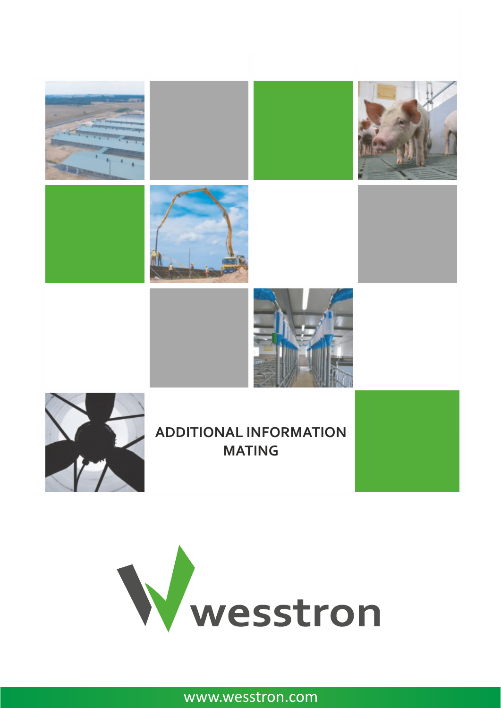



www.wesstron.com